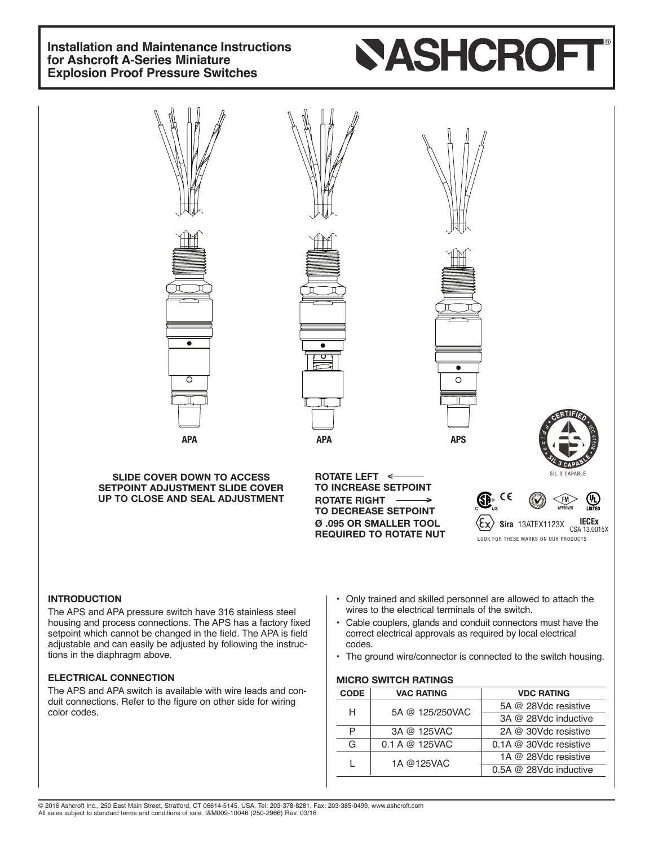# **Installation and Maintenance Instructions for Ashcroft A-Series Miniature Explosion Proof Pressure Switches**

# **SASHCROF**



adjustable and can easily be adjusted by following the instructions in the diaphragm above.

### **ELECTRICAL CONNECTION**

The APS and APA switch is available with wire leads and conduit connections. Refer to the figure on other side for wiring color codes.

- correct electrical approvals as required by local electrical codes.
- The ground wire/connector is connected to the switch housing.

#### **MICRO SWITCH RATINGS**

| <b>CODE</b> | <b>VAC RATING</b> | <b>VDC RATING</b>            |  |
|-------------|-------------------|------------------------------|--|
| н           | 5A @ 125/250VAC   | 5A @ 28Vdc resistive         |  |
|             |                   | 3A @ 28Vdc inductive         |  |
| P           | 3A @ 125VAC       | 2A @ 30Vdc resistive         |  |
| G           | 0.1 A @ 125VAC    | $0.1A \ @ \ 30Vdc$ resistive |  |
|             | 1A @125VAC        | 1A @ 28Vdc resistive         |  |
|             |                   | 0.5A @ 28Vdc inductive       |  |

© 2016 Ashcroft Inc., 250 East Main Street, Stratford, CT 06614-5145, USA, Tel: 203-378-8281, Fax: 203-385-0499, www.ashcroft.com All sales subject to standard terms and conditions of sale. I&M009-10046 (250-2966) Rev. 03/16